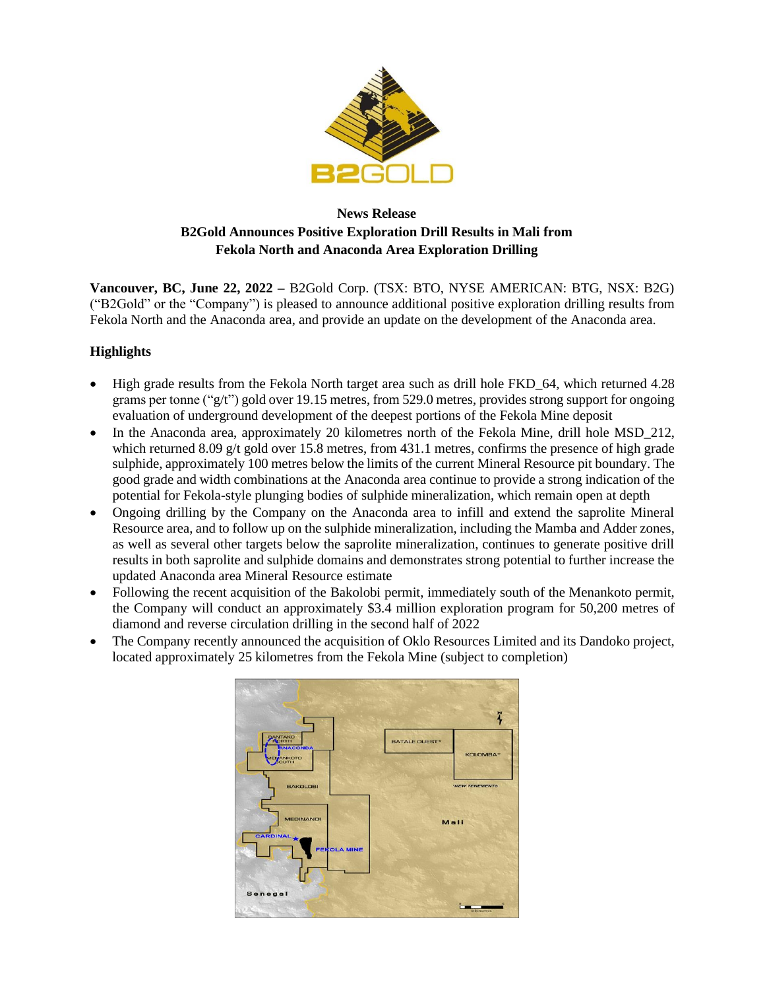

# **News Release B2Gold Announces Positive Exploration Drill Results in Mali from Fekola North and Anaconda Area Exploration Drilling**

**Vancouver, BC, June 22, 2022 –** B2Gold Corp. (TSX: BTO, NYSE AMERICAN: BTG, NSX: B2G) ("B2Gold" or the "Company") is pleased to announce additional positive exploration drilling results from Fekola North and the Anaconda area, and provide an update on the development of the Anaconda area.

## **Highlights**

- High grade results from the Fekola North target area such as drill hole FKD\_64, which returned 4.28 grams per tonne ("g/t") gold over 19.15 metres, from 529.0 metres, provides strong support for ongoing evaluation of underground development of the deepest portions of the Fekola Mine deposit
- In the Anaconda area, approximately 20 kilometres north of the Fekola Mine, drill hole MSD\_212, which returned 8.09  $g/t$  gold over 15.8 metres, from 431.1 metres, confirms the presence of high grade sulphide, approximately 100 metres below the limits of the current Mineral Resource pit boundary. The good grade and width combinations at the Anaconda area continue to provide a strong indication of the potential for Fekola-style plunging bodies of sulphide mineralization, which remain open at depth
- Ongoing drilling by the Company on the Anaconda area to infill and extend the saprolite Mineral Resource area, and to follow up on the sulphide mineralization, including the Mamba and Adder zones, as well as several other targets below the saprolite mineralization, continues to generate positive drill results in both saprolite and sulphide domains and demonstrates strong potential to further increase the updated Anaconda area Mineral Resource estimate
- Following the recent acquisition of the Bakolobi permit, immediately south of the Menankoto permit, the Company will conduct an approximately \$3.4 million exploration program for 50,200 metres of diamond and reverse circulation drilling in the second half of 2022
- The Company recently announced the acquisition of Oklo Resources Limited and its Dandoko project, located approximately 25 kilometres from the Fekola Mine (subject to completion)

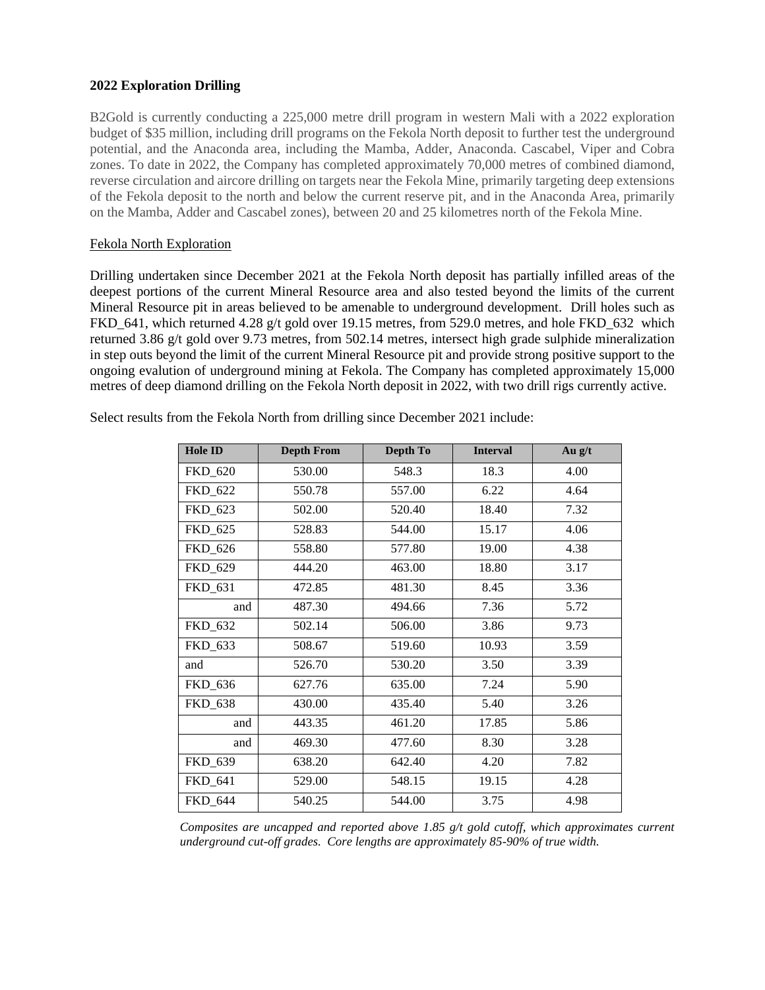#### **2022 Exploration Drilling**

B2Gold is currently conducting a 225,000 metre drill program in western Mali with a 2022 exploration budget of \$35 million, including drill programs on the Fekola North deposit to further test the underground potential, and the Anaconda area, including the Mamba, Adder, Anaconda. Cascabel, Viper and Cobra zones. To date in 2022, the Company has completed approximately 70,000 metres of combined diamond, reverse circulation and aircore drilling on targets near the Fekola Mine, primarily targeting deep extensions of the Fekola deposit to the north and below the current reserve pit, and in the Anaconda Area, primarily on the Mamba, Adder and Cascabel zones), between 20 and 25 kilometres north of the Fekola Mine.

### Fekola North Exploration

Drilling undertaken since December 2021 at the Fekola North deposit has partially infilled areas of the deepest portions of the current Mineral Resource area and also tested beyond the limits of the current Mineral Resource pit in areas believed to be amenable to underground development. Drill holes such as FKD\_641, which returned 4.28 g/t gold over 19.15 metres, from 529.0 metres, and hole FKD\_632 which returned 3.86 g/t gold over 9.73 metres, from 502.14 metres, intersect high grade sulphide mineralization in step outs beyond the limit of the current Mineral Resource pit and provide strong positive support to the ongoing evalution of underground mining at Fekola. The Company has completed approximately 15,000 metres of deep diamond drilling on the Fekola North deposit in 2022, with two drill rigs currently active.

|  | Select results from the Fekola North from drilling since December 2021 include: |
|--|---------------------------------------------------------------------------------|
|  |                                                                                 |

| <b>Hole ID</b> | <b>Depth From</b> | Depth To | <b>Interval</b> | Au g/t |
|----------------|-------------------|----------|-----------------|--------|
| FKD_620        | 530.00            | 548.3    | 18.3            | 4.00   |
| FKD_622        | 550.78            | 557.00   | 6.22            | 4.64   |
| FKD_623        | 502.00            | 520.40   | 18.40           | 7.32   |
| FKD 625        | 528.83            | 544.00   | 15.17           | 4.06   |
| FKD 626        | 558.80            | 577.80   | 19.00           | 4.38   |
| FKD_629        | 444.20            | 463.00   | 18.80           | 3.17   |
| FKD_631        | 472.85            | 481.30   | 8.45            | 3.36   |
| and            | 487.30            | 494.66   | 7.36            | 5.72   |
| FKD_632        | 502.14            | 506.00   | 3.86            | 9.73   |
| FKD_633        | 508.67            | 519.60   | 10.93           | 3.59   |
| and            | 526.70            | 530.20   | 3.50            | 3.39   |
| FKD_636        | 627.76            | 635.00   | 7.24            | 5.90   |
| <b>FKD_638</b> | 430.00            | 435.40   | 5.40            | 3.26   |
| and            | 443.35            | 461.20   | 17.85           | 5.86   |
| and            | 469.30            | 477.60   | 8.30            | 3.28   |
| FKD_639        | 638.20            | 642.40   | 4.20            | 7.82   |
| FKD_641        | 529.00            | 548.15   | 19.15           | 4.28   |
| FKD 644        | 540.25            | 544.00   | 3.75            | 4.98   |

*Composites are uncapped and reported above 1.85 g/t gold cutoff, which approximates current underground cut-off grades. Core lengths are approximately 85-90% of true width.*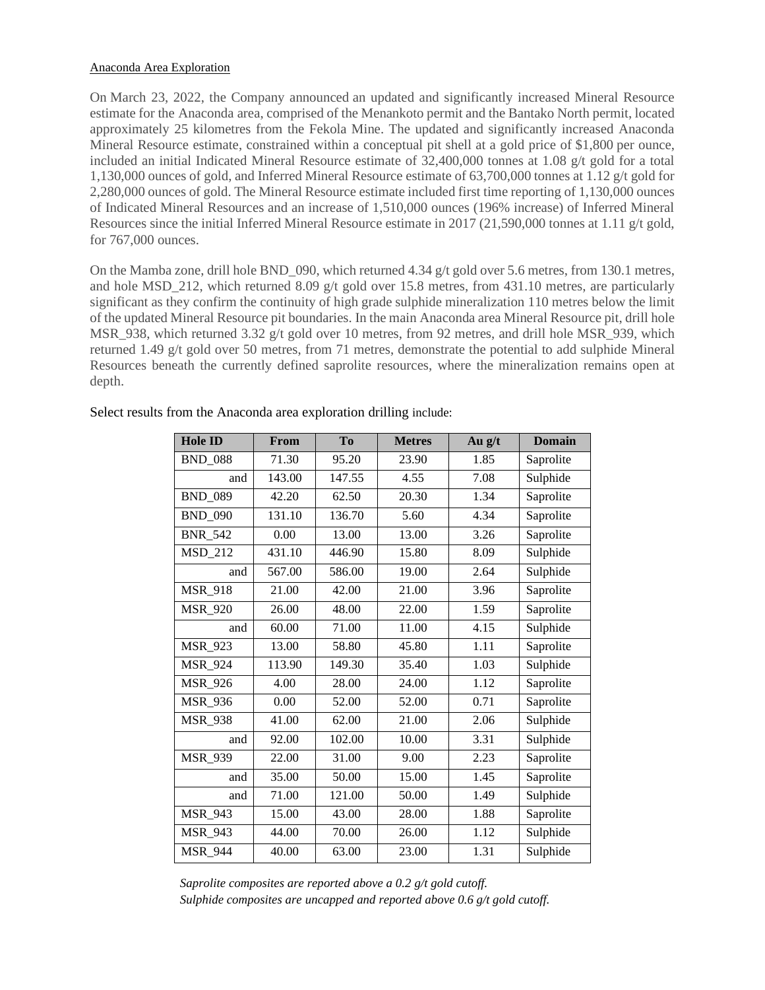#### Anaconda Area Exploration

On March 23, 2022, the Company announced an updated and significantly increased Mineral Resource estimate for the Anaconda area, comprised of the Menankoto permit and the Bantako North permit, located approximately 25 kilometres from the Fekola Mine. The updated and significantly increased Anaconda Mineral Resource estimate, constrained within a conceptual pit shell at a gold price of \$1,800 per ounce, included an initial Indicated Mineral Resource estimate of 32,400,000 tonnes at 1.08 g/t gold for a total 1,130,000 ounces of gold, and Inferred Mineral Resource estimate of 63,700,000 tonnes at 1.12 g/t gold for 2,280,000 ounces of gold. The Mineral Resource estimate included first time reporting of 1,130,000 ounces of Indicated Mineral Resources and an increase of 1,510,000 ounces (196% increase) of Inferred Mineral Resources since the initial Inferred Mineral Resource estimate in 2017 (21,590,000 tonnes at 1.11 g/t gold, for 767,000 ounces.

On the Mamba zone, drill hole BND 090, which returned 4.34 g/t gold over 5.6 metres, from 130.1 metres, and hole MSD 212, which returned 8.09 g/t gold over 15.8 metres, from 431.10 metres, are particularly significant as they confirm the continuity of high grade sulphide mineralization 110 metres below the limit of the updated Mineral Resource pit boundaries. In the main Anaconda area Mineral Resource pit, drill hole MSR\_938, which returned 3.32 g/t gold over 10 metres, from 92 metres, and drill hole MSR\_939, which returned 1.49 g/t gold over 50 metres, from 71 metres, demonstrate the potential to add sulphide Mineral Resources beneath the currently defined saprolite resources, where the mineralization remains open at depth.

| <b>Hole ID</b> | From   | To     | <b>Metres</b> | Au g/t | <b>Domain</b> |
|----------------|--------|--------|---------------|--------|---------------|
| <b>BND_088</b> | 71.30  | 95.20  | 23.90         | 1.85   | Saprolite     |
| and            | 143.00 | 147.55 | 4.55          | 7.08   | Sulphide      |
| <b>BND_089</b> | 42.20  | 62.50  | 20.30         | 1.34   | Saprolite     |
| <b>BND 090</b> | 131.10 | 136.70 | 5.60          | 4.34   | Saprolite     |
| <b>BNR 542</b> | 0.00   | 13.00  | 13.00         | 3.26   | Saprolite     |
| <b>MSD_212</b> | 431.10 | 446.90 | 15.80         | 8.09   | Sulphide      |
| and            | 567.00 | 586.00 | 19.00         | 2.64   | Sulphide      |
| <b>MSR_918</b> | 21.00  | 42.00  | 21.00         | 3.96   | Saprolite     |
| <b>MSR_920</b> | 26.00  | 48.00  | 22.00         | 1.59   | Saprolite     |
| and            | 60.00  | 71.00  | 11.00         | 4.15   | Sulphide      |
| <b>MSR_923</b> | 13.00  | 58.80  | 45.80         | 1.11   | Saprolite     |
| <b>MSR_924</b> | 113.90 | 149.30 | 35.40         | 1.03   | Sulphide      |
| <b>MSR_926</b> | 4.00   | 28.00  | 24.00         | 1.12   | Saprolite     |
| <b>MSR_936</b> | 0.00   | 52.00  | 52.00         | 0.71   | Saprolite     |
| <b>MSR 938</b> | 41.00  | 62.00  | 21.00         | 2.06   | Sulphide      |
| and            | 92.00  | 102.00 | 10.00         | 3.31   | Sulphide      |
| <b>MSR 939</b> | 22.00  | 31.00  | 9.00          | 2.23   | Saprolite     |
| and            | 35.00  | 50.00  | 15.00         | 1.45   | Saprolite     |
| and            | 71.00  | 121.00 | 50.00         | 1.49   | Sulphide      |
| <b>MSR_943</b> | 15.00  | 43.00  | 28.00         | 1.88   | Saprolite     |
| <b>MSR 943</b> | 44.00  | 70.00  | 26.00         | 1.12   | Sulphide      |
| <b>MSR_944</b> | 40.00  | 63.00  | 23.00         | 1.31   | Sulphide      |

Select results from the Anaconda area exploration drilling include:

*Saprolite composites are reported above a 0.2 g/t gold cutoff. Sulphide composites are uncapped and reported above 0.6 g/t gold cutoff.*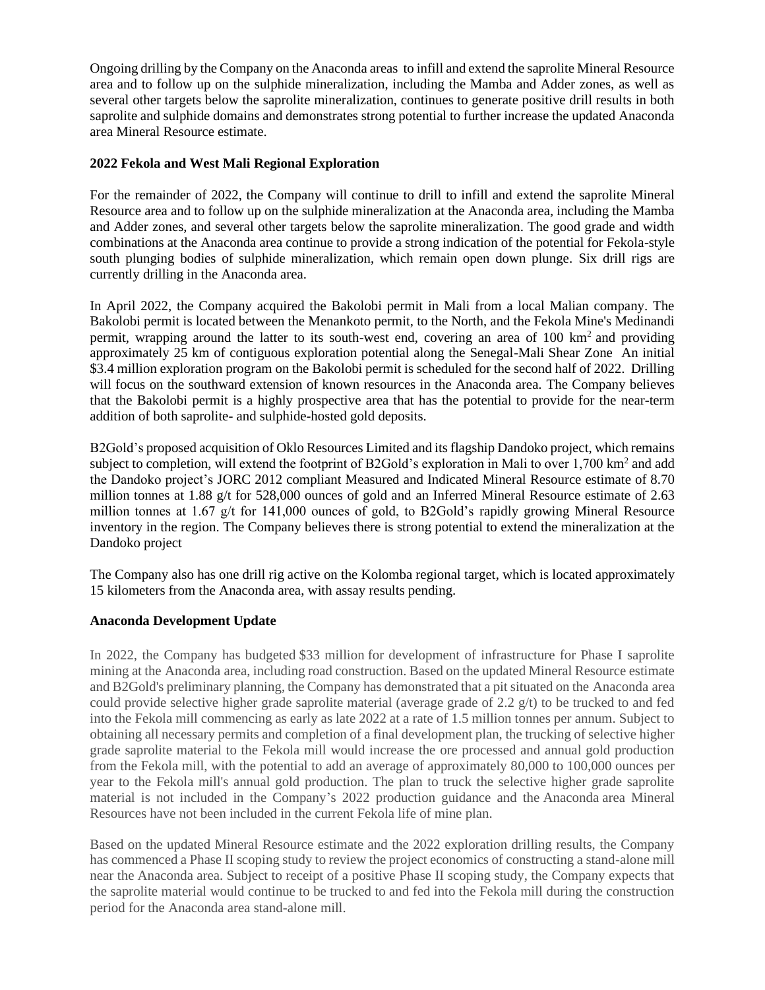Ongoing drilling by the Company on the Anaconda areas to infill and extend the saprolite Mineral Resource area and to follow up on the sulphide mineralization, including the Mamba and Adder zones, as well as several other targets below the saprolite mineralization, continues to generate positive drill results in both saprolite and sulphide domains and demonstrates strong potential to further increase the updated Anaconda area Mineral Resource estimate.

### **2022 Fekola and West Mali Regional Exploration**

For the remainder of 2022, the Company will continue to drill to infill and extend the saprolite Mineral Resource area and to follow up on the sulphide mineralization at the Anaconda area, including the Mamba and Adder zones, and several other targets below the saprolite mineralization. The good grade and width combinations at the Anaconda area continue to provide a strong indication of the potential for Fekola-style south plunging bodies of sulphide mineralization, which remain open down plunge. Six drill rigs are currently drilling in the Anaconda area.

In April 2022, the Company acquired the Bakolobi permit in Mali from a local Malian company. The Bakolobi permit is located between the Menankoto permit, to the North, and the Fekola Mine's Medinandi permit, wrapping around the latter to its south-west end, covering an area of  $100 \text{ km}^2$  and providing approximately 25 km of contiguous exploration potential along the Senegal-Mali Shear Zone An initial \$3.4 million exploration program on the Bakolobi permit is scheduled for the second half of 2022. Drilling will focus on the southward extension of known resources in the Anaconda area. The Company believes that the Bakolobi permit is a highly prospective area that has the potential to provide for the near-term addition of both saprolite- and sulphide-hosted gold deposits.

B2Gold's proposed acquisition of Oklo Resources Limited and its flagship Dandoko project, which remains subject to completion, will extend the footprint of B2Gold's exploration in Mali to over 1,700 km<sup>2</sup> and add the Dandoko project's JORC 2012 compliant Measured and Indicated Mineral Resource estimate of 8.70 million tonnes at 1.88 g/t for 528,000 ounces of gold and an Inferred Mineral Resource estimate of 2.63 million tonnes at 1.67 g/t for 141,000 ounces of gold, to B2Gold's rapidly growing Mineral Resource inventory in the region. The Company believes there is strong potential to extend the mineralization at the Dandoko project

The Company also has one drill rig active on the Kolomba regional target, which is located approximately 15 kilometers from the Anaconda area, with assay results pending.

#### **Anaconda Development Update**

In 2022, the Company has budgeted \$33 million for development of infrastructure for Phase I saprolite mining at the Anaconda area, including road construction. Based on the updated Mineral Resource estimate and B2Gold's preliminary planning, the Company has demonstrated that a pit situated on the Anaconda area could provide selective higher grade saprolite material (average grade of  $2.2 \frac{g}{t}$ ) to be trucked to and fed into the Fekola mill commencing as early as late 2022 at a rate of 1.5 million tonnes per annum. Subject to obtaining all necessary permits and completion of a final development plan, the trucking of selective higher grade saprolite material to the Fekola mill would increase the ore processed and annual gold production from the Fekola mill, with the potential to add an average of approximately 80,000 to 100,000 ounces per year to the Fekola mill's annual gold production. The plan to truck the selective higher grade saprolite material is not included in the Company's 2022 production guidance and the Anaconda area Mineral Resources have not been included in the current Fekola life of mine plan.

Based on the updated Mineral Resource estimate and the 2022 exploration drilling results, the Company has commenced a Phase II scoping study to review the project economics of constructing a stand-alone mill near the Anaconda area. Subject to receipt of a positive Phase II scoping study, the Company expects that the saprolite material would continue to be trucked to and fed into the Fekola mill during the construction period for the Anaconda area stand-alone mill.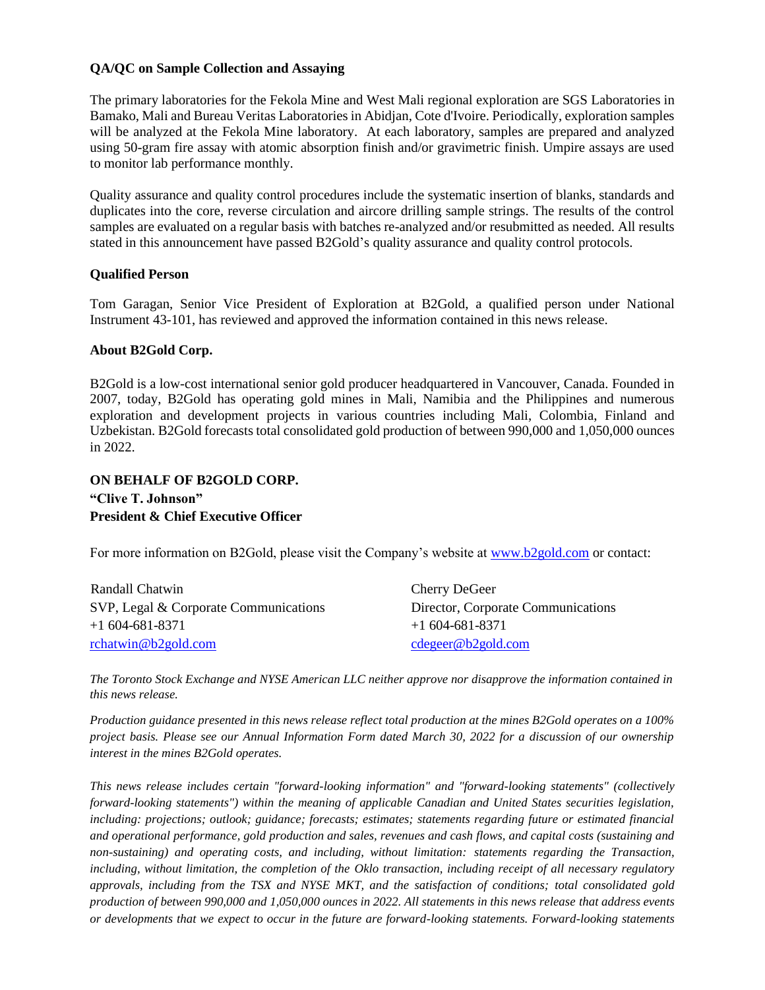### **QA/QC on Sample Collection and Assaying**

The primary laboratories for the Fekola Mine and West Mali regional exploration are SGS Laboratories in Bamako, Mali and Bureau Veritas Laboratories in Abidjan, Cote d'Ivoire. Periodically, exploration samples will be analyzed at the Fekola Mine laboratory. At each laboratory, samples are prepared and analyzed using 50-gram fire assay with atomic absorption finish and/or gravimetric finish. Umpire assays are used to monitor lab performance monthly.

Quality assurance and quality control procedures include the systematic insertion of blanks, standards and duplicates into the core, reverse circulation and aircore drilling sample strings. The results of the control samples are evaluated on a regular basis with batches re-analyzed and/or resubmitted as needed. All results stated in this announcement have passed B2Gold's quality assurance and quality control protocols.

#### **Qualified Person**

Tom Garagan, Senior Vice President of Exploration at B2Gold, a qualified person under National Instrument 43-101, has reviewed and approved the information contained in this news release.

#### **About B2Gold Corp.**

B2Gold is a low-cost international senior gold producer headquartered in Vancouver, Canada. Founded in 2007, today, B2Gold has operating gold mines in Mali, Namibia and the Philippines and numerous exploration and development projects in various countries including Mali, Colombia, Finland and Uzbekistan. B2Gold forecasts total consolidated gold production of between 990,000 and 1,050,000 ounces in 2022.

## **ON BEHALF OF B2GOLD CORP. "Clive T. Johnson" President & Chief Executive Officer**

For more information on B2Gold, please visit the Company's website at [www.b2gold.com](http://www.b2gold.com/) or contact:

| Randall Chatwin                       | Cherry DeGeer                      |
|---------------------------------------|------------------------------------|
| SVP, Legal & Corporate Communications | Director, Corporate Communications |
| $+1604-681-8371$                      | $+1604-681-8371$                   |
| rchatwin@b2gold.com                   | cdegree@b2gold.com                 |

*The Toronto Stock Exchange and NYSE American LLC neither approve nor disapprove the information contained in this news release.* 

*Production guidance presented in this news release reflect total production at the mines B2Gold operates on a 100% project basis. Please see our Annual Information Form dated March 30, 2022 for a discussion of our ownership interest in the mines B2Gold operates.*

*This news release includes certain "forward-looking information" and "forward-looking statements" (collectively forward-looking statements") within the meaning of applicable Canadian and United States securities legislation, including: projections; outlook; guidance; forecasts; estimates; statements regarding future or estimated financial and operational performance, gold production and sales, revenues and cash flows, and capital costs (sustaining and non-sustaining) and operating costs, and including, without limitation: statements regarding the Transaction, including, without limitation, the completion of the Oklo transaction, including receipt of all necessary regulatory approvals, including from the TSX and NYSE MKT, and the satisfaction of conditions; total consolidated gold production of between 990,000 and 1,050,000 ounces in 2022. All statements in this news release that address events or developments that we expect to occur in the future are forward-looking statements. Forward-looking statements*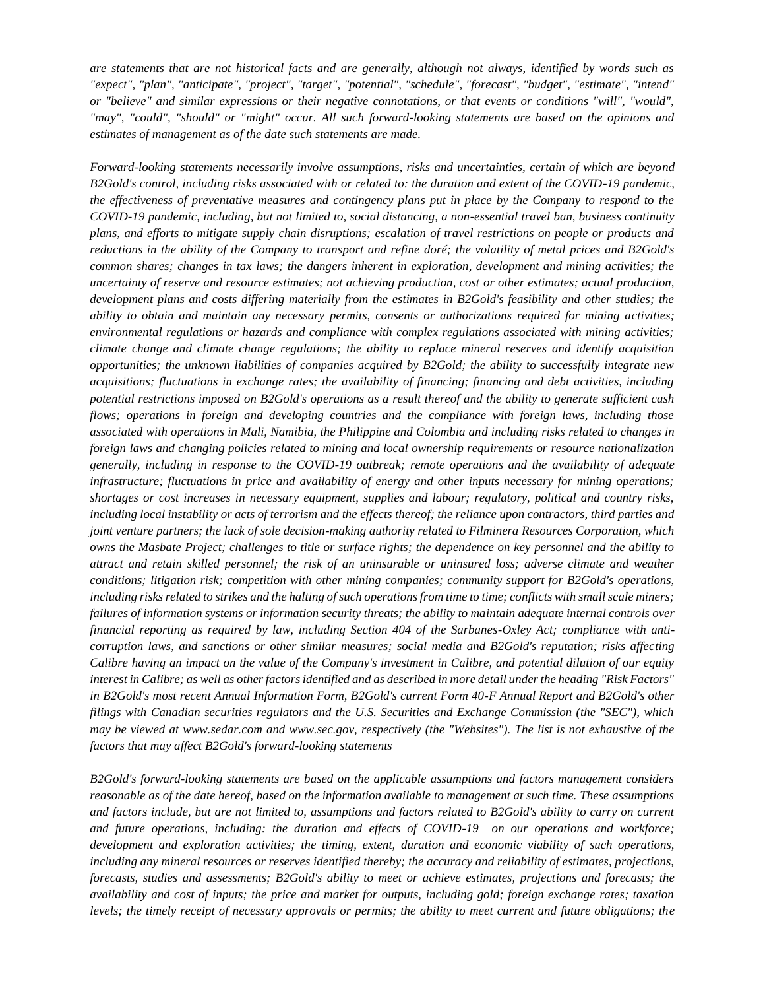*are statements that are not historical facts and are generally, although not always, identified by words such as "expect", "plan", "anticipate", "project", "target", "potential", "schedule", "forecast", "budget", "estimate", "intend" or "believe" and similar expressions or their negative connotations, or that events or conditions "will", "would", "may", "could", "should" or "might" occur. All such forward-looking statements are based on the opinions and estimates of management as of the date such statements are made.*

*Forward-looking statements necessarily involve assumptions, risks and uncertainties, certain of which are beyond B2Gold's control, including risks associated with or related to: the duration and extent of the COVID-19 pandemic, the effectiveness of preventative measures and contingency plans put in place by the Company to respond to the COVID-19 pandemic, including, but not limited to, social distancing, a non-essential travel ban, business continuity plans, and efforts to mitigate supply chain disruptions; escalation of travel restrictions on people or products and reductions in the ability of the Company to transport and refine doré; the volatility of metal prices and B2Gold's common shares; changes in tax laws; the dangers inherent in exploration, development and mining activities; the uncertainty of reserve and resource estimates; not achieving production, cost or other estimates; actual production, development plans and costs differing materially from the estimates in B2Gold's feasibility and other studies; the ability to obtain and maintain any necessary permits, consents or authorizations required for mining activities; environmental regulations or hazards and compliance with complex regulations associated with mining activities; climate change and climate change regulations; the ability to replace mineral reserves and identify acquisition opportunities; the unknown liabilities of companies acquired by B2Gold; the ability to successfully integrate new acquisitions; fluctuations in exchange rates; the availability of financing; financing and debt activities, including potential restrictions imposed on B2Gold's operations as a result thereof and the ability to generate sufficient cash flows; operations in foreign and developing countries and the compliance with foreign laws, including those associated with operations in Mali, Namibia, the Philippine and Colombia and including risks related to changes in foreign laws and changing policies related to mining and local ownership requirements or resource nationalization generally, including in response to the COVID-19 outbreak; remote operations and the availability of adequate infrastructure; fluctuations in price and availability of energy and other inputs necessary for mining operations; shortages or cost increases in necessary equipment, supplies and labour; regulatory, political and country risks, including local instability or acts of terrorism and the effects thereof; the reliance upon contractors, third parties and joint venture partners; the lack of sole decision-making authority related to Filminera Resources Corporation, which owns the Masbate Project; challenges to title or surface rights; the dependence on key personnel and the ability to attract and retain skilled personnel; the risk of an uninsurable or uninsured loss; adverse climate and weather conditions; litigation risk; competition with other mining companies; community support for B2Gold's operations, including risks related to strikes and the halting of such operations from time to time; conflicts with small scale miners; failures of information systems or information security threats; the ability to maintain adequate internal controls over financial reporting as required by law, including Section 404 of the Sarbanes-Oxley Act; compliance with anticorruption laws, and sanctions or other similar measures; social media and B2Gold's reputation; risks affecting Calibre having an impact on the value of the Company's investment in Calibre, and potential dilution of our equity interest in Calibre; as well as other factors identified and as described in more detail under the heading "Risk Factors" in B2Gold's most recent Annual Information Form, B2Gold's current Form 40-F Annual Report and B2Gold's other filings with Canadian securities regulators and the U.S. Securities and Exchange Commission (the "SEC"), which may be viewed at www.sedar.com and www.sec.gov, respectively (the "Websites"). The list is not exhaustive of the factors that may affect B2Gold's forward-looking statements*

*B2Gold's forward-looking statements are based on the applicable assumptions and factors management considers reasonable as of the date hereof, based on the information available to management at such time. These assumptions and factors include, but are not limited to, assumptions and factors related to B2Gold's ability to carry on current and future operations, including: the duration and effects of COVID-19 on our operations and workforce; development and exploration activities; the timing, extent, duration and economic viability of such operations, including any mineral resources or reserves identified thereby; the accuracy and reliability of estimates, projections, forecasts, studies and assessments; B2Gold's ability to meet or achieve estimates, projections and forecasts; the availability and cost of inputs; the price and market for outputs, including gold; foreign exchange rates; taxation levels; the timely receipt of necessary approvals or permits; the ability to meet current and future obligations; the*